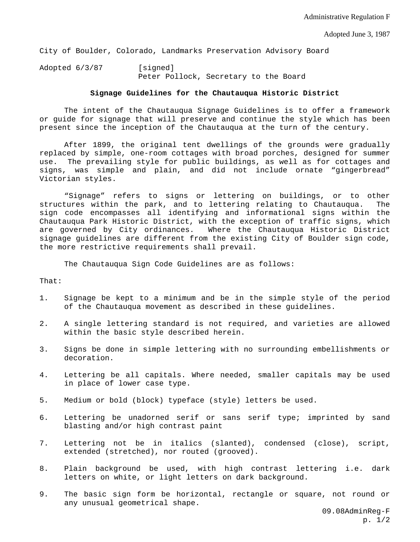City of Boulder, Colorado, Landmarks Preservation Advisory Board

Adopted 6/3/87 [signed] Peter Pollock, Secretary to the Board

## **Signage Guidelines for the Chautauqua Historic District**

 The intent of the Chautauqua Signage Guidelines is to offer a framework or guide for signage that will preserve and continue the style which has been present since the inception of the Chautauqua at the turn of the century.

 After 1899, the original tent dwellings of the grounds were gradually replaced by simple, one-room cottages with broad porches, designed for summer use. The prevailing style for public buildings, as well as for cottages and signs, was simple and plain, and did not include ornate "gingerbread" Victorian styles.

 "Signage" refers to signs or lettering on buildings, or to other structures within the park, and to lettering relating to Chautauqua. The sign code encompasses all identifying and informational signs within the Chautauqua Park Historic District, with the exception of traffic signs, which are governed by City ordinances. Where the Chautauqua Historic District signage guidelines are different from the existing City of Boulder sign code, the more restrictive requirements shall prevail.

The Chautauqua Sign Code Guidelines are as follows:

That:

- 1. Signage be kept to a minimum and be in the simple style of the period of the Chautauqua movement as described in these guidelines.
- 2. A single lettering standard is not required, and varieties are allowed within the basic style described herein.
- 3. Signs be done in simple lettering with no surrounding embellishments or decoration.
- 4. Lettering be all capitals. Where needed, smaller capitals may be used in place of lower case type.
- 5. Medium or bold (block) typeface (style) letters be used.
- 6. Lettering be unadorned serif or sans serif type; imprinted by sand blasting and/or high contrast paint
- 7. Lettering not be in italics (slanted), condensed (close), script, extended (stretched), nor routed (grooved).
- 8. Plain background be used, with high contrast lettering i.e. dark letters on white, or light letters on dark background.
- 9. The basic sign form be horizontal, rectangle or square, not round or any unusual geometrical shape.